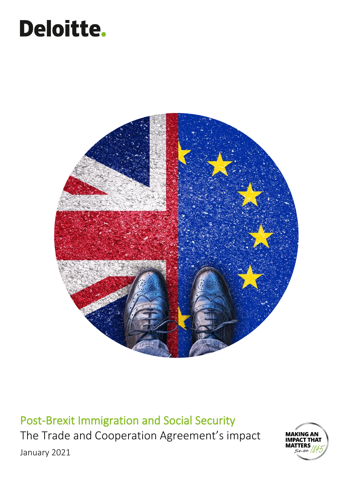# Deloitte.



Post-Brexit Immigration and Social Security The Trade and Cooperation Agreement's impact January 2021

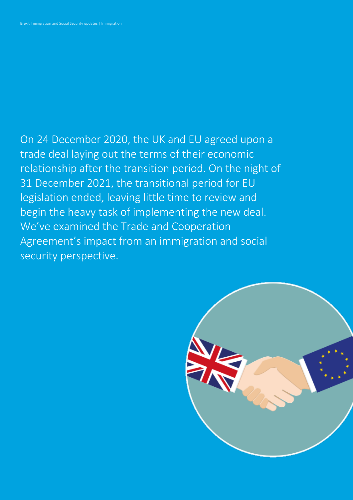On 24 December 2020, the UK and EU agreed upon a trade deal laying out the terms of their economic relationship after the transition period. On the night of 31 December 2021, the transitional period for EU legislation ended, leaving little time to review and begin the heavy task of implementing the new deal. We've examined the Trade and Cooperation Agreement's impact from an immigration and social security perspective.

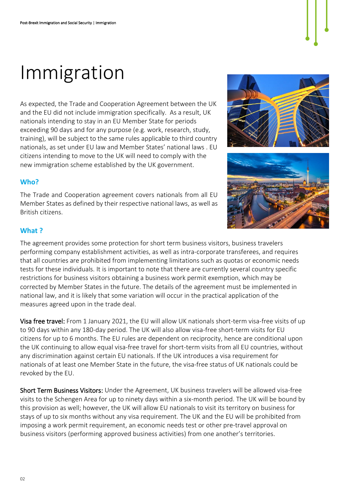### Immigration

As expected, the Trade and Cooperation Agreement between the UK and the EU did not include immigration specifically. As a result, UK nationals intending to stay in an EU Member State for periods exceeding 90 days and for any purpose (e.g. work, research, study, training), will be subject to the same rules applicable to third country nationals, as set under EU law and Member States' national laws . EU citizens intending to move to the UK will need to comply with the new immigration scheme established by the UK government.

#### **Who?**

The Trade and Cooperation agreement covers nationals from all EU Member States as defined by their respective national laws, as well as British citizens.





#### **What ?**

The agreement provides some protection for short term business visitors, business travelers performing company establishment activities, as well as intra-corporate transferees, and requires that all countries are prohibited from implementing limitations such as quotas or economic needs tests for these individuals. It is important to note that there are currently several country specific restrictions for business visitors obtaining a business work permit exemption, which may be corrected by Member States in the future. The details of the agreement must be implemented in national law, and it is likely that some variation will occur in the practical application of the measures agreed upon in the trade deal.

Visa free travel: From 1 January 2021, the EU will allow UK nationals short-term visa-free visits of up to 90 days within any 180-day period. The UK will also allow visa-free short-term visits for EU citizens for up to 6 months. The EU rules are dependent on reciprocity, hence are conditional upon the UK continuing to allow equal visa-free travel for short-term visits from all EU countries, without any discrimination against certain EU nationals. If the UK introduces a visa requirement for nationals of at least one Member State in the future, the visa-free status of UK nationals could be revoked by the EU.

Short Term Business Visitors: Under the Agreement, UK business travelers will be allowed visa-free visits to the Schengen Area for up to ninety days within a six-month period. The UK will be bound by this provision as well; however, the UK will allow EU nationals to visit its territory on business for stays of up to six months without any visa requirement. The UK and the EU will be prohibited from imposing a work permit requirement, an economic needs test or other pre-travel approval on business visitors (performing approved business activities) from one another's territories.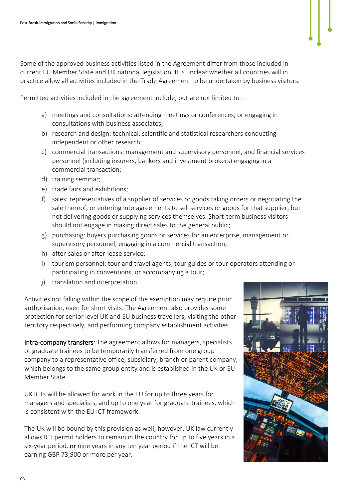Some of the approved business activities listed in the Agreement differ from those included in current EU Member State and UK national legislation. It is unclear whether all countries will in practice allow all activities included in the Trade Agreement to be undertaken by business visitors.

Permitted activities included in the agreement include, but are not limited to :

- a) meetings and consultations: attending meetings or conferences, or engaging in consultations with business associates;
- b) research and design: technical, scientific and statistical researchers conducting independent or other research;
- c) commercial transactions: management and supervisory personnel, and financial services personnel (including insurers, bankers and investment brokers) engaging in a commercial transaction;
- d) training seminar;
- e) trade fairs and exhibitions;
- f) sales: representatives of a supplier of services or goods taking orders or negotiating the sale thereof, or entering into agreements to sell services or goods for that supplier, but not delivering goods or supplying services themselves. Short-term business visitors should not engage in making direct sales to the general public;
- g) purchasing: buyers purchasing goods or services for an enterprise, management or supervisory personnel, engaging in a commercial transaction;
- h) after-sales or after-lease service;
- i) tourism personnel: tour and travel agents, tour guides or tour operators attending or participating in conventions, or accompanying a tour;
- j) translation and interpretation

Activities not falling within the scope of the exemption may require prior authorisation, even for short visits. The Agreement also provides some protection for senior level UK and EU business travellers, visiting the other territory respectively, and performing company establishment activities.

Intra-company transfers: The agreement allows for managers, specialists or graduate trainees to be temporarily transferred from one group company to a representative office, subsidiary, branch or parent company, which belongs to the same group entity and is established in the UK or EU Member State.

UK ICTs will be allowed for work in the EU for up to three years for managers and specialists, and up to one year for graduate trainees, which is consistent with the EU ICT framework.

The UK will be bound by this provision as well; however, UK law currently allows ICT permit holders to remain in the country for up to five years in a six-year period, or nine years in any ten year period if the ICT will be earning GBP 73,900 or more per year.

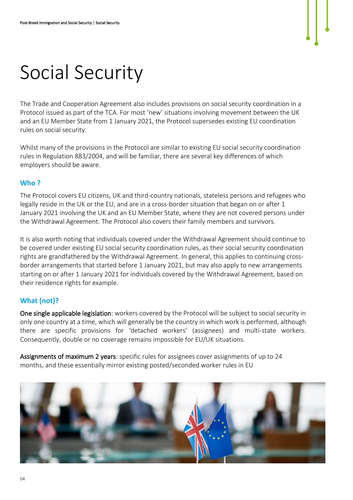## Social Security

The Trade and Cooperation Agreement also includes provisions on social security coordination in a Protocol issued as part of the TCA. For most 'new' situations involving movement between the UK and an EU Member State from 1 January 2021, the Protocol supersedes existing EU coordination rules on social security.

Whilst many of the provisions in the Protocol are similar to existing EU social security coordination rules in Regulation 883/2004, and will be familiar, there are several key differences of which employers should be aware.

#### **Who ?**

The Protocol covers EU citizens, UK and third-country nationals, stateless persons and refugees who legally reside in the UK or the EU, and are in a cross-border situation that began on or after 1 January 2021 involving the UK and an EU Member State, where they are not covered persons under the Withdrawal Agreement. The Protocol also covers their family members and survivors.

It is also worth noting that individuals covered under the Withdrawal Agreement should continue to be covered under existing EU social security coordination rules, as their social security coordination rights are grandfathered by the Withdrawal Agreement. In general, this applies to continuing crossborder arrangements that started before 1 January 2021, but may also apply to new arrangements starting on or after 1 January 2021 for individuals covered by the Withdrawal Agreement, based on their residence rights for example.

### **What (not)?**

One single applicable legislation: workers covered by the Protocol will be subject to social security in only one country at a time, which will generally be the country in which work is performed, although there are specific provisions for 'detached workers' (assignees) and multi-state workers. Consequently, double or no coverage remains impossible for EU/UK situations.

Assignments of maximum 2 years: specific rules for assignees cover assignments of up to 24 months, and these essentially mirror existing posted/seconded worker rules in EU

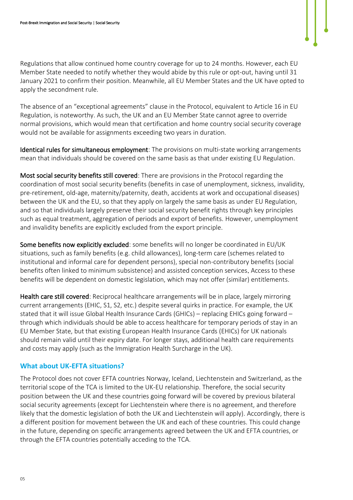

Regulations that allow continued home country coverage for up to 24 months. However, each EU Member State needed to notify whether they would abide by this rule or opt-out, having until 31 January 2021 to confirm their position. Meanwhile, all EU Member States and the UK have opted to apply the secondment rule.

The absence of an "exceptional agreements" clause in the Protocol, equivalent to Article 16 in EU Regulation, is noteworthy. As such, the UK and an EU Member State cannot agree to override normal provisions, which would mean that certification and home country social security coverage would not be available for assignments exceeding two years in duration.

Identical rules for simultaneous employment: The provisions on multi-state working arrangements mean that individuals should be covered on the same basis as that under existing EU Regulation.

Most social security benefits still covered: There are provisions in the Protocol regarding the coordination of most social security benefits (benefits in case of unemployment, sickness, invalidity, pre-retirement, old-age, maternity/paternity, death, accidents at work and occupational diseases) between the UK and the EU, so that they apply on largely the same basis as under EU Regulation, and so that individuals largely preserve their social security benefit rights through key principles such as equal treatment, aggregation of periods and export of benefits. However, unemployment and invalidity benefits are explicitly excluded from the export principle.

Some benefits now explicitly excluded: some benefits will no longer be coordinated in EU/UK situations, such as family benefits (e.g. child allowances), long-term care (schemes related to institutional and informal care for dependent persons), special non-contributory benefits (social benefits often linked to minimum subsistence) and assisted conception services. Access to these benefits will be dependent on domestic legislation, which may not offer (similar) entitlements.

Health care still covered: Reciprocal healthcare arrangements will be in place, largely mirroring current arrangements (EHIC, S1, S2, etc.) despite several quirks in practice. For example, the UK stated that it will issue Global Health Insurance Cards (GHICs) – replacing EHICs going forward – through which individuals should be able to access healthcare for temporary periods of stay in an EU Member State, but that existing European Health Insurance Cards (EHICs) for UK nationals should remain valid until their expiry date. For longer stays, additional health care requirements and costs may apply (such as the Immigration Health Surcharge in the UK).

#### **What about UK-EFTA situations?**

The Protocol does not cover EFTA countries Norway, Iceland, Liechtenstein and Switzerland, as the territorial scope of the TCA is limited to the UK-EU relationship. Therefore, the social security position between the UK and these countries going forward will be covered by previous bilateral social security agreements (except for Liechtenstein where there is no agreement, and therefore likely that the domestic legislation of both the UK and Liechtenstein will apply). Accordingly, there is a different position for movement between the UK and each of these countries. This could change in the future, depending on specific arrangements agreed between the UK and EFTA countries, or through the EFTA countries potentially acceding to the TCA.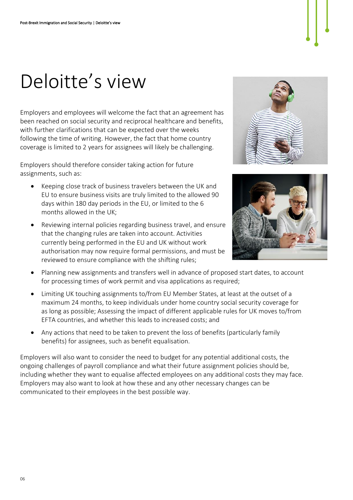### Deloitte's view

Employers and employees will welcome the fact that an agreement has been reached on social security and reciprocal healthcare and benefits, with further clarifications that can be expected over the weeks following the time of writing. However, the fact that home country coverage is limited to 2 years for assignees will likely be challenging.

Employers should therefore consider taking action for future assignments, such as:

- Keeping close track of business travelers between the UK and EU to ensure business visits are truly limited to the allowed 90 days within 180 day periods in the EU, or limited to the 6 months allowed in the UK;
- Reviewing internal policies regarding business travel, and ensure that the changing rules are taken into account. Activities currently being performed in the EU and UK without work authorisation may now require formal permissions, and must be reviewed to ensure compliance with the shifting rules;





- Planning new assignments and transfers well in advance of proposed start dates, to account for processing times of work permit and visa applications as required;
- Limiting UK touching assignments to/from EU Member States, at least at the outset of a maximum 24 months, to keep individuals under home country social security coverage for as long as possible; Assessing the impact of different applicable rules for UK moves to/from EFTA countries, and whether this leads to increased costs; and
- Any actions that need to be taken to prevent the loss of benefits (particularly family benefits) for assignees, such as benefit equalisation.

Employers will also want to consider the need to budget for any potential additional costs, the ongoing challenges of payroll compliance and what their future assignment policies should be, including whether they want to equalise affected employees on any additional costs they may face. Employers may also want to look at how these and any other necessary changes can be communicated to their employees in the best possible way.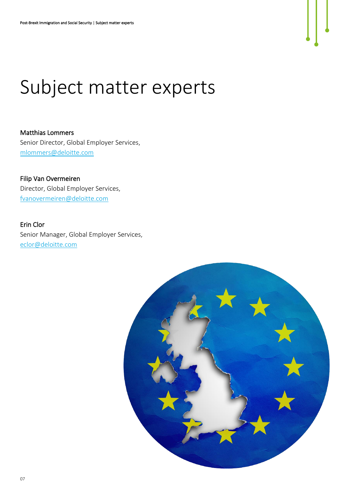

### Subject matter experts

Matthias Lommers Senior Director, Global Employer Services, [mlommers@deloitte.com](mailto:mlommers@deloitte.com)

Filip Van Overmeiren Director, Global Employer Services, [fvanovermeiren@deloitte.com](mailto:fvanovermeiren@deloitte.com)

Erin Clor Senior Manager, Global Employer Services, [eclor@deloitte.com](mailto:eclor@deloitte.com)